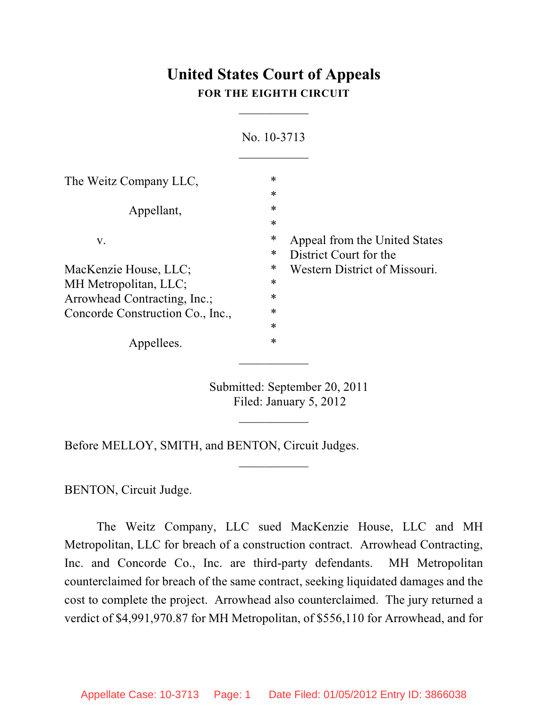## **United States Court of Appeals FOR THE EIGHTH CIRCUIT**

 $\overline{\phantom{a}}$ 

| No. 10-3713                      |                  |                                                         |
|----------------------------------|------------------|---------------------------------------------------------|
| The Weitz Company LLC,           | ∗                |                                                         |
|                                  | $\ast$<br>$\ast$ |                                                         |
| Appellant,                       | $\ast$           |                                                         |
| V.                               | ∗<br>*           | Appeal from the United States                           |
| MacKenzie House, LLC;            | ∗                | District Court for the<br>Western District of Missouri. |
| MH Metropolitan, LLC;            | ∗                |                                                         |
| Arrowhead Contracting, Inc.;     | *                |                                                         |
| Concorde Construction Co., Inc., | $\ast$           |                                                         |
|                                  | $\ast$           |                                                         |
| Appellees.                       | *                |                                                         |

Submitted: September 20, 2011 Filed: January 5, 2012

 $\frac{1}{2}$ 

 $\frac{1}{2}$ 

Before MELLOY, SMITH, and BENTON, Circuit Judges.

BENTON, Circuit Judge.

The Weitz Company, LLC sued MacKenzie House, LLC and MH Metropolitan, LLC for breach of a construction contract. Arrowhead Contracting, Inc. and Concorde Co., Inc. are third-party defendants. MH Metropolitan counterclaimed for breach of the same contract, seeking liquidated damages and the cost to complete the project. Arrowhead also counterclaimed. The jury returned a verdict of \$4,991,970.87 for MH Metropolitan, of \$556,110 for Arrowhead, and for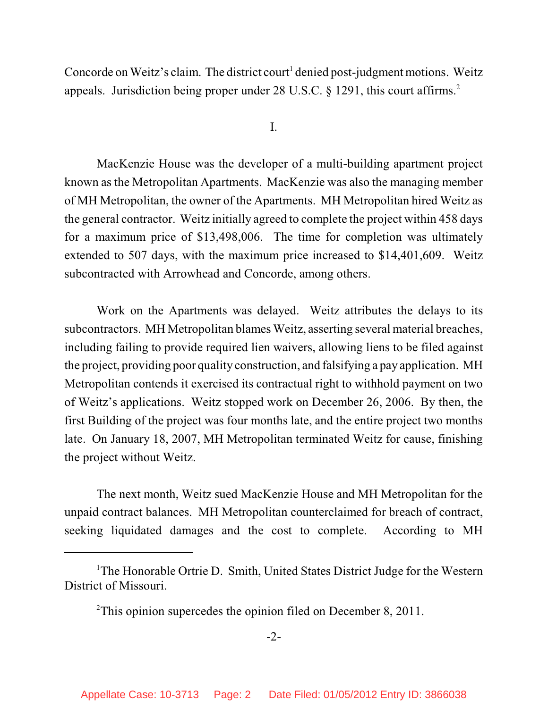Concorde on Weitz's claim. The district court<sup>1</sup> denied post-judgment motions. Weitz appeals. Jurisdiction being proper under 28 U.S.C. § 1291, this court affirms.<sup>2</sup>

I.

MacKenzie House was the developer of a multi-building apartment project known as the Metropolitan Apartments. MacKenzie was also the managing member of MH Metropolitan, the owner of the Apartments. MH Metropolitan hired Weitz as the general contractor. Weitz initially agreed to complete the project within 458 days for a maximum price of \$13,498,006. The time for completion was ultimately extended to 507 days, with the maximum price increased to \$14,401,609. Weitz subcontracted with Arrowhead and Concorde, among others.

Work on the Apartments was delayed. Weitz attributes the delays to its subcontractors. MH Metropolitan blames Weitz, asserting several material breaches, including failing to provide required lien waivers, allowing liens to be filed against the project, providing poor quality construction, and falsifying a pay application. MH Metropolitan contends it exercised its contractual right to withhold payment on two of Weitz's applications. Weitz stopped work on December 26, 2006. By then, the first Building of the project was four months late, and the entire project two months late. On January 18, 2007, MH Metropolitan terminated Weitz for cause, finishing the project without Weitz.

The next month, Weitz sued MacKenzie House and MH Metropolitan for the unpaid contract balances. MH Metropolitan counterclaimed for breach of contract, seeking liquidated damages and the cost to complete. According to MH

 $1$ <sup>The</sup> Honorable Ortrie D. Smith, United States District Judge for the Western District of Missouri.

 $2$ This opinion supercedes the opinion filed on December 8, 2011.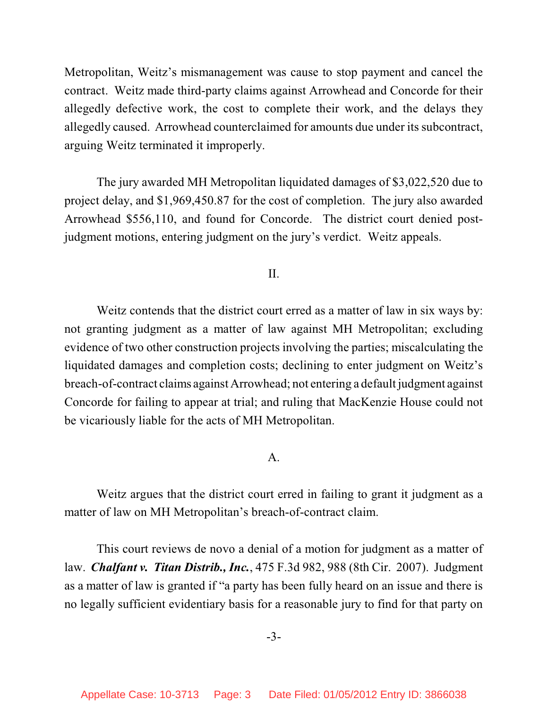Metropolitan, Weitz's mismanagement was cause to stop payment and cancel the contract. Weitz made third-party claims against Arrowhead and Concorde for their allegedly defective work, the cost to complete their work, and the delays they allegedly caused. Arrowhead counterclaimed for amounts due under its subcontract, arguing Weitz terminated it improperly.

The jury awarded MH Metropolitan liquidated damages of \$3,022,520 due to project delay, and \$1,969,450.87 for the cost of completion. The jury also awarded Arrowhead \$556,110, and found for Concorde. The district court denied postjudgment motions, entering judgment on the jury's verdict. Weitz appeals.

II.

Weitz contends that the district court erred as a matter of law in six ways by: not granting judgment as a matter of law against MH Metropolitan; excluding evidence of two other construction projects involving the parties; miscalculating the liquidated damages and completion costs; declining to enter judgment on Weitz's breach-of-contract claims against Arrowhead; not entering a default judgment against Concorde for failing to appear at trial; and ruling that MacKenzie House could not be vicariously liable for the acts of MH Metropolitan.

## A.

Weitz argues that the district court erred in failing to grant it judgment as a matter of law on MH Metropolitan's breach-of-contract claim.

This court reviews de novo a denial of a motion for judgment as a matter of law. *Chalfant v. Titan Distrib., Inc.*, 475 F.3d 982, 988 (8th Cir. 2007). Judgment as a matter of law is granted if "a party has been fully heard on an issue and there is no legally sufficient evidentiary basis for a reasonable jury to find for that party on

-3-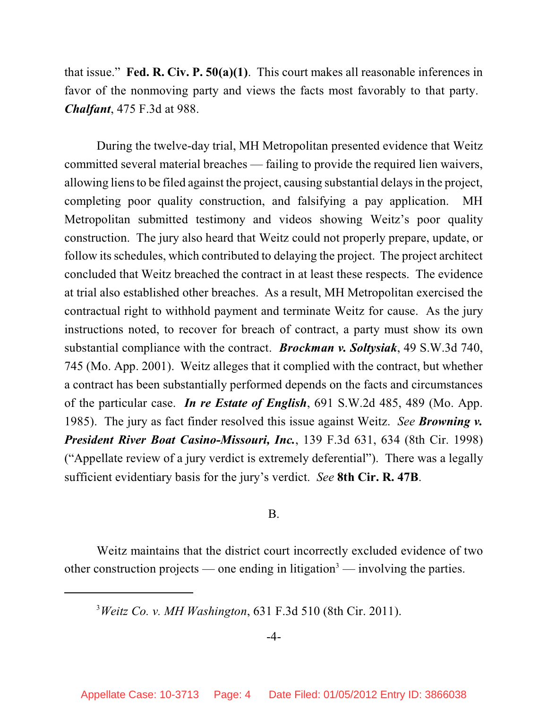that issue." **Fed. R. Civ. P. 50(a)(1)**. This court makes all reasonable inferences in favor of the nonmoving party and views the facts most favorably to that party. *Chalfant*, 475 F.3d at 988.

During the twelve-day trial, MH Metropolitan presented evidence that Weitz committed several material breaches — failing to provide the required lien waivers, allowing liens to be filed against the project, causing substantial delays in the project, completing poor quality construction, and falsifying a pay application. MH Metropolitan submitted testimony and videos showing Weitz's poor quality construction. The jury also heard that Weitz could not properly prepare, update, or follow its schedules, which contributed to delaying the project. The project architect concluded that Weitz breached the contract in at least these respects. The evidence at trial also established other breaches. As a result, MH Metropolitan exercised the contractual right to withhold payment and terminate Weitz for cause. As the jury instructions noted, to recover for breach of contract, a party must show its own substantial compliance with the contract. *Brockman v. Soltysiak*, 49 S.W.3d 740, 745 (Mo. App. 2001). Weitz alleges that it complied with the contract, but whether a contract has been substantially performed depends on the facts and circumstances of the particular case. *In re Estate of English*, 691 S.W.2d 485, 489 (Mo. App. 1985). The jury as fact finder resolved this issue against Weitz. *See Browning v. President River Boat Casino-Missouri, Inc.*, 139 F.3d 631, 634 (8th Cir. 1998) ("Appellate review of a jury verdict is extremely deferential"). There was a legally sufficient evidentiary basis for the jury's verdict. *See* **8th Cir. R. 47B**.

## B.

Weitz maintains that the district court incorrectly excluded evidence of two other construction projects — one ending in litigation<sup>3</sup> — involving the parties.

*Weitz Co. v. MH Washington*, 631 F.3d 510 (8th Cir. 2011). <sup>3</sup>

## -4-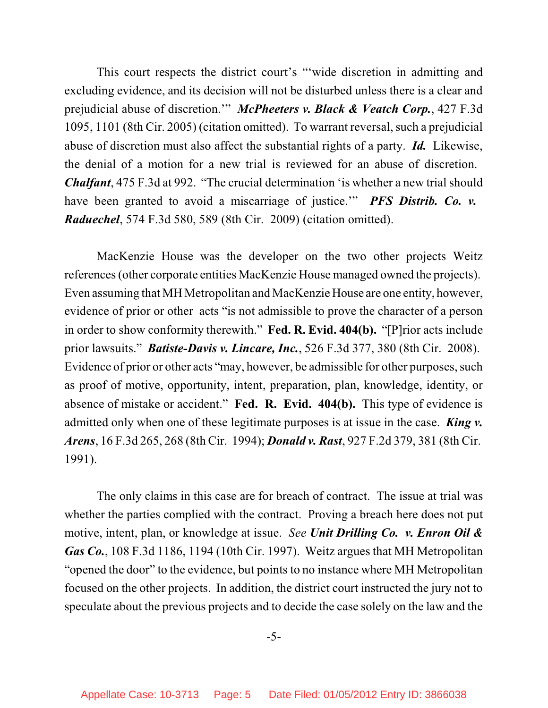This court respects the district court's "'wide discretion in admitting and excluding evidence, and its decision will not be disturbed unless there is a clear and prejudicial abuse of discretion.'" *McPheeters v. Black & Veatch Corp.*, 427 F.3d 1095, 1101 (8th Cir. 2005) (citation omitted). To warrant reversal, such a prejudicial abuse of discretion must also affect the substantial rights of a party. *Id.* Likewise, the denial of a motion for a new trial is reviewed for an abuse of discretion. *Chalfant*, 475 F.3d at 992. "The crucial determination 'is whether a new trial should have been granted to avoid a miscarriage of justice.'" *PFS Distrib. Co. v. Raduechel*, 574 F.3d 580, 589 (8th Cir. 2009) (citation omitted).

MacKenzie House was the developer on the two other projects Weitz references(other corporate entities MacKenzie House managed owned the projects). Even assuming that MH Metropolitan and MacKenzie House are one entity, however, evidence of prior or other acts "is not admissible to prove the character of a person in order to show conformity therewith." **Fed. R. Evid. 404(b).** "[P]rior acts include prior lawsuits." *Batiste-Davis v. Lincare, Inc.*, 526 F.3d 377, 380 (8th Cir. 2008). Evidence of prior or other acts "may, however, be admissible for other purposes, such as proof of motive, opportunity, intent, preparation, plan, knowledge, identity, or absence of mistake or accident." **Fed. R. Evid. 404(b).** This type of evidence is admitted only when one of these legitimate purposes is at issue in the case. *King v. Arens*, 16 F.3d 265, 268 (8th Cir. 1994); *Donald v. Rast*, 927 F.2d 379, 381 (8th Cir. 1991).

The only claims in this case are for breach of contract. The issue at trial was whether the parties complied with the contract. Proving a breach here does not put motive, intent, plan, or knowledge at issue. *See Unit Drilling Co. v. Enron Oil & Gas Co.*, 108 F.3d 1186, 1194 (10th Cir. 1997). Weitz argues that MH Metropolitan "opened the door" to the evidence, but points to no instance where MH Metropolitan focused on the other projects. In addition, the district court instructed the jury not to speculate about the previous projects and to decide the case solely on the law and the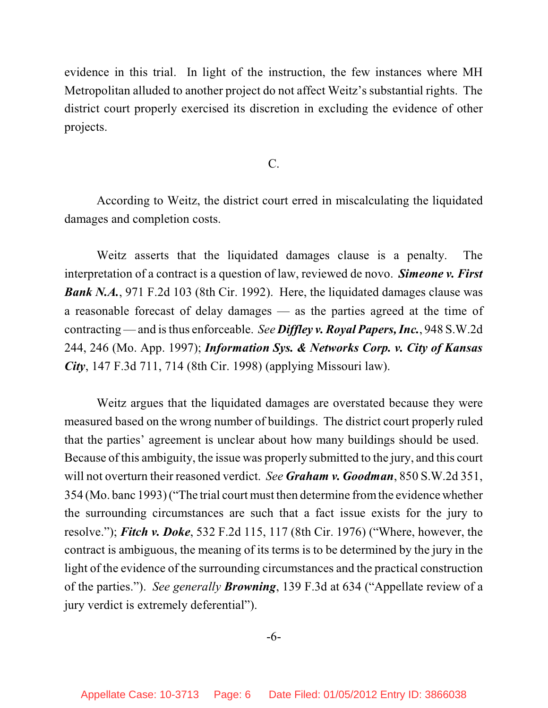evidence in this trial. In light of the instruction, the few instances where MH Metropolitan alluded to another project do not affect Weitz's substantial rights. The district court properly exercised its discretion in excluding the evidence of other projects.

C.

According to Weitz, the district court erred in miscalculating the liquidated damages and completion costs.

Weitz asserts that the liquidated damages clause is a penalty. The interpretation of a contract is a question of law, reviewed de novo. *Simeone v. First Bank N.A.*, 971 F.2d 103 (8th Cir. 1992). Here, the liquidated damages clause was a reasonable forecast of delay damages — as the parties agreed at the time of contracting — and isthus enforceable. *See Diffley v. Royal Papers, Inc.*, 948 S.W.2d 244, 246 (Mo. App. 1997); *Information Sys. & Networks Corp. v. City of Kansas City*, 147 F.3d 711, 714 (8th Cir. 1998) (applying Missouri law).

Weitz argues that the liquidated damages are overstated because they were measured based on the wrong number of buildings. The district court properly ruled that the parties' agreement is unclear about how many buildings should be used. Because of this ambiguity, the issue was properly submitted to the jury, and this court will not overturn their reasoned verdict. *See Graham v. Goodman*, 850 S.W.2d 351, 354 (Mo. banc 1993) ("The trial court must then determine fromthe evidence whether the surrounding circumstances are such that a fact issue exists for the jury to resolve."); *Fitch v. Doke*, 532 F.2d 115, 117 (8th Cir. 1976) ("Where, however, the contract is ambiguous, the meaning of its terms is to be determined by the jury in the light of the evidence of the surrounding circumstances and the practical construction of the parties."). *See generally Browning*, 139 F.3d at 634 ("Appellate review of a jury verdict is extremely deferential").

-6-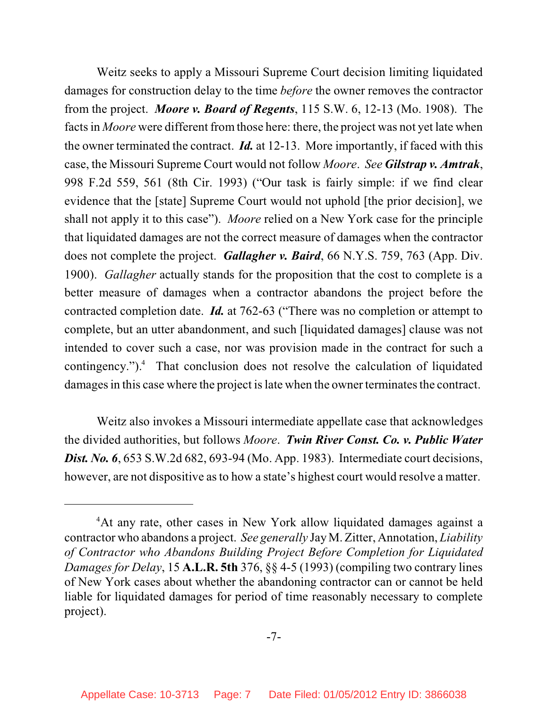Weitz seeks to apply a Missouri Supreme Court decision limiting liquidated damages for construction delay to the time *before* the owner removes the contractor from the project. *Moore v. Board of Regents*, 115 S.W. 6, 12-13 (Mo. 1908). The facts in *Moore* were different from those here: there, the project was not yet late when the owner terminated the contract. *Id.* at 12-13. More importantly, if faced with this case, the Missouri Supreme Court would not follow *Moore*. *See Gilstrap v. Amtrak*, 998 F.2d 559, 561 (8th Cir. 1993) ("Our task is fairly simple: if we find clear evidence that the [state] Supreme Court would not uphold [the prior decision], we shall not apply it to this case"). *Moore* relied on a New York case for the principle that liquidated damages are not the correct measure of damages when the contractor does not complete the project. *Gallagher v. Baird*, 66 N.Y.S. 759, 763 (App. Div. 1900). *Gallagher* actually stands for the proposition that the cost to complete is a better measure of damages when a contractor abandons the project before the contracted completion date. *Id.* at 762-63 ("There was no completion or attempt to complete, but an utter abandonment, and such [liquidated damages] clause was not intended to cover such a case, nor was provision made in the contract for such a contingency."). $\text{4}$  That conclusion does not resolve the calculation of liquidated damages in this case where the project is late when the owner terminates the contract.

Weitz also invokes a Missouri intermediate appellate case that acknowledges the divided authorities, but follows *Moore*. *Twin River Const. Co. v. Public Water Dist. No.* **6, 653 S.W.2d 682, 693-94 (Mo. App. 1983). Intermediate court decisions,** however, are not dispositive as to how a state's highest court would resolve a matter.

<sup>&</sup>lt;sup>4</sup>At any rate, other cases in New York allow liquidated damages against a contractor who abandons a project. *See generally* JayM. Zitter, Annotation, *Liability of Contractor who Abandons Building Project Before Completion for Liquidated Damages for Delay*, 15 **A.L.R. 5th** 376, §§ 4-5 (1993) (compiling two contrary lines of New York cases about whether the abandoning contractor can or cannot be held liable for liquidated damages for period of time reasonably necessary to complete project).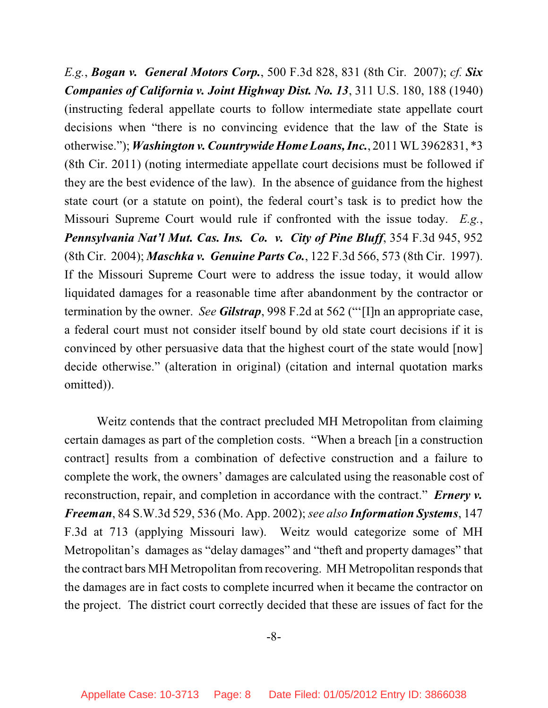*E.g.*, *Bogan v. General Motors Corp.*, 500 F.3d 828, 831 (8th Cir. 2007); *cf. Six Companies of California v. Joint Highway Dist. No. 13*, 311 U.S. 180, 188 (1940) (instructing federal appellate courts to follow intermediate state appellate court decisions when "there is no convincing evidence that the law of the State is otherwise."); *Washington v. Countrywide Home Loans, Inc.*, 2011 WL 3962831, \*3 (8th Cir. 2011) (noting intermediate appellate court decisions must be followed if they are the best evidence of the law). In the absence of guidance from the highest state court (or a statute on point), the federal court's task is to predict how the Missouri Supreme Court would rule if confronted with the issue today. *E.g.*, *Pennsylvania Nat'l Mut. Cas. Ins. Co. v. City of Pine Bluff*, 354 F.3d 945, 952 (8th Cir. 2004); *Maschka v. Genuine Parts Co.*, 122 F.3d 566, 573 (8th Cir. 1997). If the Missouri Supreme Court were to address the issue today, it would allow liquidated damages for a reasonable time after abandonment by the contractor or termination by the owner. *See Gilstrap*, 998 F.2d at 562 ("'[I]n an appropriate case, a federal court must not consider itself bound by old state court decisions if it is convinced by other persuasive data that the highest court of the state would [now] decide otherwise." (alteration in original) (citation and internal quotation marks omitted)).

Weitz contends that the contract precluded MH Metropolitan from claiming certain damages as part of the completion costs. "When a breach [in a construction contract] results from a combination of defective construction and a failure to complete the work, the owners' damages are calculated using the reasonable cost of reconstruction, repair, and completion in accordance with the contract." *Ernery v. Freeman*, 84 S.W.3d 529, 536 (Mo. App. 2002); *see also Information Systems*, 147 F.3d at 713 (applying Missouri law). Weitz would categorize some of MH Metropolitan's damages as "delay damages" and "theft and property damages" that the contract bars MH Metropolitan from recovering. MH Metropolitan responds that the damages are in fact costs to complete incurred when it became the contractor on the project. The district court correctly decided that these are issues of fact for the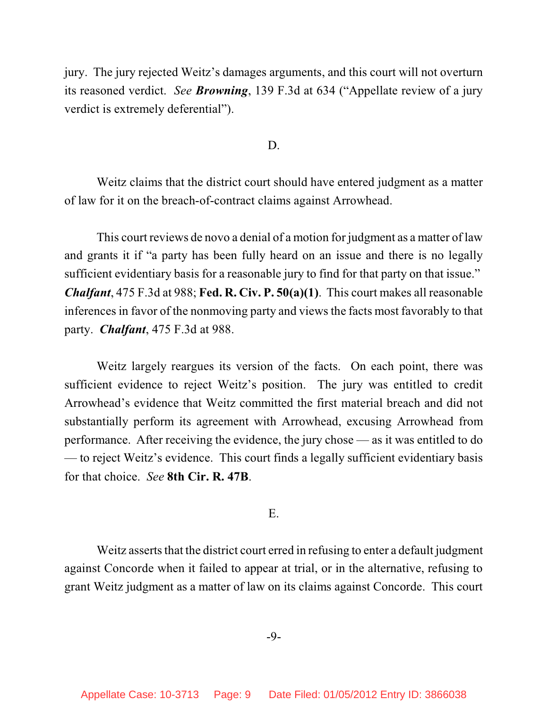jury. The jury rejected Weitz's damages arguments, and this court will not overturn its reasoned verdict. *See Browning*, 139 F.3d at 634 ("Appellate review of a jury verdict is extremely deferential").

D.

Weitz claims that the district court should have entered judgment as a matter of law for it on the breach-of-contract claims against Arrowhead.

This court reviews de novo a denial of a motion for judgment as a matter of law and grants it if "a party has been fully heard on an issue and there is no legally sufficient evidentiary basis for a reasonable jury to find for that party on that issue." *Chalfant*, 475 F.3d at 988; **Fed. R. Civ. P. 50(a)(1)**. This court makes all reasonable inferences in favor of the nonmoving party and views the facts most favorably to that party. *Chalfant*, 475 F.3d at 988.

Weitz largely reargues its version of the facts. On each point, there was sufficient evidence to reject Weitz's position. The jury was entitled to credit Arrowhead's evidence that Weitz committed the first material breach and did not substantially perform its agreement with Arrowhead, excusing Arrowhead from performance. After receiving the evidence, the jury chose — as it was entitled to do — to reject Weitz's evidence. This court finds a legally sufficient evidentiary basis for that choice. *See* **8th Cir. R. 47B**.

E.

Weitz asserts that the district court erred in refusing to enter a default judgment against Concorde when it failed to appear at trial, or in the alternative, refusing to grant Weitz judgment as a matter of law on its claims against Concorde. This court

-9-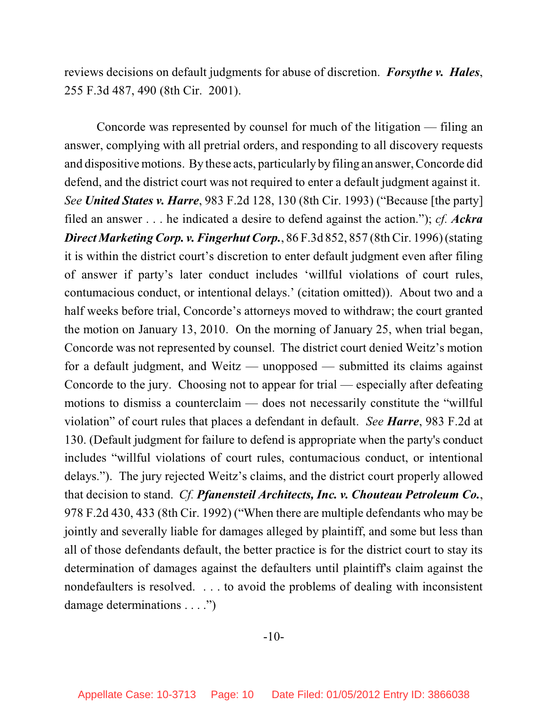reviews decisions on default judgments for abuse of discretion. *Forsythe v. Hales*, 255 F.3d 487, 490 (8th Cir. 2001).

Concorde was represented by counsel for much of the litigation — filing an answer, complying with all pretrial orders, and responding to all discovery requests and dispositive motions. By these acts, particularly by filing an answer, Concorde did defend, and the district court was not required to enter a default judgment against it. *See United States v. Harre*, 983 F.2d 128, 130 (8th Cir. 1993) ("Because [the party] filed an answer . . . he indicated a desire to defend against the action."); *cf. Ackra Direct Marketing Corp. v. FingerhutCorp.*, 86 F.3d 852, 857 (8thCir. 1996) (stating it is within the district court's discretion to enter default judgment even after filing of answer if party's later conduct includes 'willful violations of court rules, contumacious conduct, or intentional delays.' (citation omitted)). About two and a half weeks before trial, Concorde's attorneys moved to withdraw; the court granted the motion on January 13, 2010. On the morning of January 25, when trial began, Concorde was not represented by counsel. The district court denied Weitz's motion for a default judgment, and Weitz — unopposed — submitted its claims against Concorde to the jury. Choosing not to appear for trial — especially after defeating motions to dismiss a counterclaim — does not necessarily constitute the "willful violation" of court rules that places a defendant in default. *See Harre*, 983 F.2d at 130. (Default judgment for failure to defend is appropriate when the party's conduct includes "willful violations of court rules, contumacious conduct, or intentional delays."). The jury rejected Weitz's claims, and the district court properly allowed that decision to stand. *Cf. Pfanensteil Architects, Inc. v. Chouteau Petroleum Co.*, 978 F.2d 430, 433 (8th Cir. 1992) ("When there are multiple defendants who may be jointly and severally liable for damages alleged by plaintiff, and some but less than all of those defendants default, the better practice is for the district court to stay its determination of damages against the defaulters until plaintiff's claim against the nondefaulters is resolved. . . . to avoid the problems of dealing with inconsistent damage determinations . . . .")

-10-